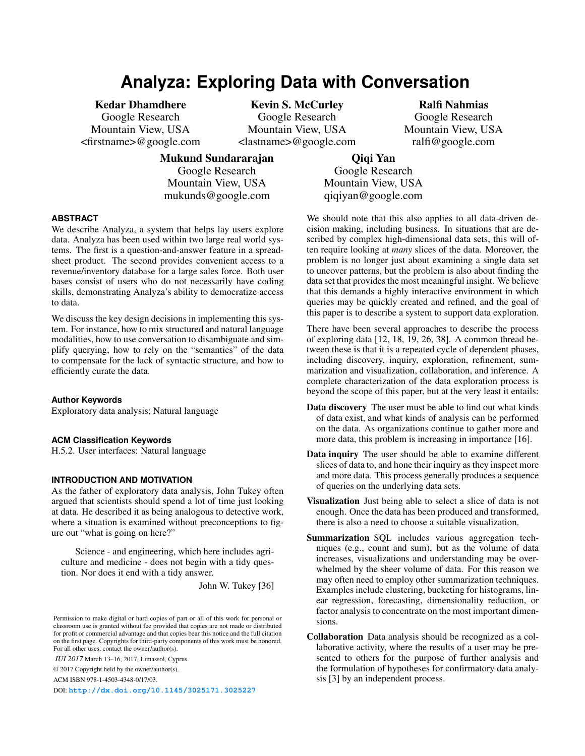# **Analyza: Exploring Data with Conversation**

# Kedar Dhamdhere

Google Research Mountain View, USA <firstname>@google.com

Kevin S. McCurley Google Research Mountain View, USA <lastname>@google.com

# Ralfi Nahmias

Google Research Mountain View, USA ralfi@google.com

Mukund Sundararajan Google Research Mountain View, USA mukunds@google.com

Google Research Mountain View, USA qiqiyan@google.com

Qiqi Yan

## **ABSTRACT**

We describe Analyza, a system that helps lay users explore data. Analyza has been used within two large real world systems. The first is a question-and-answer feature in a spreadsheet product. The second provides convenient access to a revenue/inventory database for a large sales force. Both user bases consist of users who do not necessarily have coding skills, demonstrating Analyza's ability to democratize access to data.

We discuss the key design decisions in implementing this system. For instance, how to mix structured and natural language modalities, how to use conversation to disambiguate and simplify querying, how to rely on the "semantics" of the data to compensate for the lack of syntactic structure, and how to efficiently curate the data.

## **Author Keywords**

Exploratory data analysis; Natural language

### **ACM Classification Keywords**

H.5.2. User interfaces: Natural language

#### **INTRODUCTION AND MOTIVATION**

As the father of exploratory data analysis, John Tukey often argued that scientists should spend a lot of time just looking at data. He described it as being analogous to detective work, where a situation is examined without preconceptions to figure out "what is going on here?"

Science - and engineering, which here includes agriculture and medicine - does not begin with a tidy question. Nor does it end with a tidy answer.

John W. Tukey [\[36\]](#page-11-0)

*IUI 2017* March 13–16, 2017, Limassol, Cyprus

ACM ISBN 978-1-4503-4348-0/17/03.

DOI: **<http://dx.doi.org/10.1145/3025171.3025227>**

We should note that this also applies to all data-driven decision making, including business. In situations that are described by complex high-dimensional data sets, this will often require looking at *many* slices of the data. Moreover, the problem is no longer just about examining a single data set to uncover patterns, but the problem is also about finding the data set that provides the most meaningful insight. We believe that this demands a highly interactive environment in which queries may be quickly created and refined, and the goal of this paper is to describe a system to support data exploration.

There have been several approaches to describe the process of exploring data [\[12,](#page-10-0) [18,](#page-11-1) [19,](#page-11-2) [26,](#page-11-3) [38\]](#page-11-4). A common thread between these is that it is a repeated cycle of dependent phases, including discovery, inquiry, exploration, refinement, summarization and visualization, collaboration, and inference. A complete characterization of the data exploration process is beyond the scope of this paper, but at the very least it entails:

- Data discovery The user must be able to find out what kinds of data exist, and what kinds of analysis can be performed on the data. As organizations continue to gather more and more data, this problem is increasing in importance [\[16\]](#page-10-1).
- Data inquiry The user should be able to examine different slices of data to, and hone their inquiry as they inspect more and more data. This process generally produces a sequence of queries on the underlying data sets.
- Visualization Just being able to select a slice of data is not enough. Once the data has been produced and transformed, there is also a need to choose a suitable visualization.
- Summarization SQL includes various aggregation techniques (e.g., count and sum), but as the volume of data increases, visualizations and understanding may be overwhelmed by the sheer volume of data. For this reason we may often need to employ other summarization techniques. Examples include clustering, bucketing for histograms, linear regression, forecasting, dimensionality reduction, or factor analysis to concentrate on the most important dimensions.
- Collaboration Data analysis should be recognized as a collaborative activity, where the results of a user may be presented to others for the purpose of further analysis and the formulation of hypotheses for confirmatory data analysis [\[3\]](#page-10-2) by an independent process.

Permission to make digital or hard copies of part or all of this work for personal or classroom use is granted without fee provided that copies are not made or distributed for profit or commercial advantage and that copies bear this notice and the full citation on the first page. Copyrights for third-party components of this work must be honored. For all other uses, contact the owner/author(s).

<sup>© 2017</sup> Copyright held by the owner/author(s).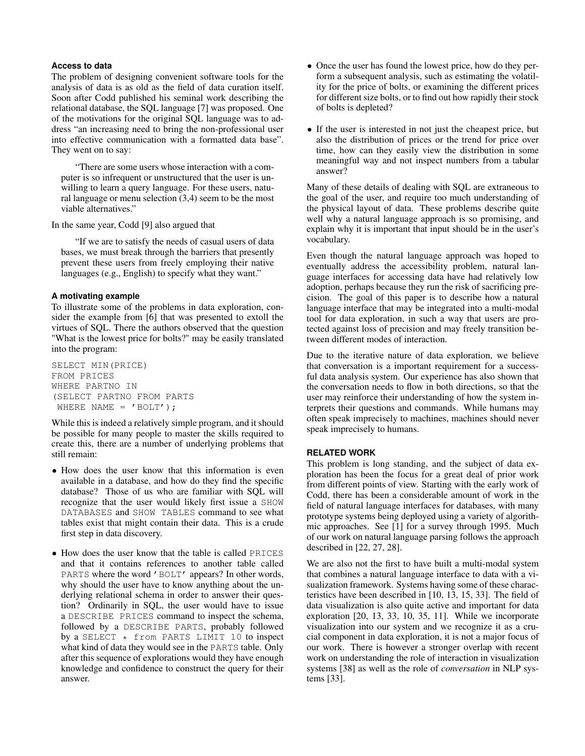## **Access to data**

The problem of designing convenient software tools for the analysis of data is as old as the field of data curation itself. Soon after Codd published his seminal work describing the relational database, the SQL language [\[7\]](#page-10-3) was proposed. One of the motivations for the original SQL language was to address "an increasing need to bring the non-professional user into effective communication with a formatted data base". They went on to say:

"There are some users whose interaction with a computer is so infrequent or unstructured that the user is unwilling to learn a query language. For these users, natural language or menu selection (3,4) seem to be the most viable alternatives."

In the same year, Codd [\[9\]](#page-10-4) also argued that

"If we are to satisfy the needs of casual users of data bases, we must break through the barriers that presently prevent these users from freely employing their native languages (e.g., English) to specify what they want."

## **A motivating example**

To illustrate some of the problems in data exploration, consider the example from [\[6\]](#page-10-5) that was presented to extoll the virtues of SQL. There the authors observed that the question "What is the lowest price for bolts?" may be easily translated into the program:

SELECT MIN(PRICE) FROM PRICES WHERE PARTNO IN (SELECT PARTNO FROM PARTS WHERE NAME =  $'$  BOLT');

While this is indeed a relatively simple program, and it should be possible for many people to master the skills required to create this, there are a number of underlying problems that still remain:

- How does the user know that this information is even available in a database, and how do they find the specific database? Those of us who are familiar with SQL will recognize that the user would likely first issue a SHOW DATABASES and SHOW TABLES command to see what tables exist that might contain their data. This is a crude first step in data discovery.
- How does the user know that the table is called PRICES and that it contains references to another table called PARTS where the word 'BOLT' appears? In other words, why should the user have to know anything about the underlying relational schema in order to answer their question? Ordinarily in SQL, the user would have to issue a DESCRIBE PRICES command to inspect the schema, followed by a DESCRIBE PARTS, probably followed by a SELECT  $\star$  from PARTS LIMIT 10 to inspect what kind of data they would see in the PARTS table. Only after this sequence of explorations would they have enough knowledge and confidence to construct the query for their answer.
- Once the user has found the lowest price, how do they perform a subsequent analysis, such as estimating the volatility for the price of bolts, or examining the different prices for different size bolts, or to find out how rapidly their stock of bolts is depleted?
- If the user is interested in not just the cheapest price, but also the distribution of prices or the trend for price over time, how can they easily view the distribution in some meaningful way and not inspect numbers from a tabular answer?

Many of these details of dealing with SQL are extraneous to the goal of the user, and require too much understanding of the physical layout of data. These problems describe quite well why a natural language approach is so promising, and explain why it is important that input should be in the user's vocabulary.

Even though the natural language approach was hoped to eventually address the accessibility problem, natural language interfaces for accessing data have had relatively low adoption, perhaps because they run the risk of sacrificing precision. The goal of this paper is to describe how a natural language interface that may be integrated into a multi-modal tool for data exploration, in such a way that users are protected against loss of precision and may freely transition between different modes of interaction.

Due to the iterative nature of data exploration, we believe that conversation is a important requirement for a successful data analysis system. Our experience has also shown that the conversation needs to flow in both directions, so that the user may reinforce their understanding of how the system interprets their questions and commands. While humans may often speak imprecisely to machines, machines should never speak imprecisely to humans.

## **RELATED WORK**

This problem is long standing, and the subject of data exploration has been the focus for a great deal of prior work from different points of view. Starting with the early work of Codd, there has been a considerable amount of work in the field of natural language interfaces for databases, with many prototype systems being deployed using a variety of algorithmic approaches. See [\[1\]](#page-10-6) for a survey through 1995. Much of our work on natural language parsing follows the approach described in [\[22,](#page-11-5) [27,](#page-11-6) [28\]](#page-11-7).

We are also not the first to have built a multi-modal system that combines a natural language interface to data with a visualization framework. Systems having some of these characteristics have been described in [\[10,](#page-10-7) [13,](#page-10-8) [15,](#page-10-9) [33\]](#page-11-8). The field of data visualization is also quite active and important for data exploration [\[20,](#page-11-9) [13,](#page-10-8) [33,](#page-11-8) [10,](#page-10-7) [35,](#page-11-10) [11\]](#page-10-10). While we incorporate visualization into our system and we recognize it as a crucial component in data exploration, it is not a major focus of our work. There is however a stronger overlap with recent work on understanding the role of interaction in visualization systems [\[38\]](#page-11-4) as well as the role of *conversation* in NLP systems [\[33\]](#page-11-8).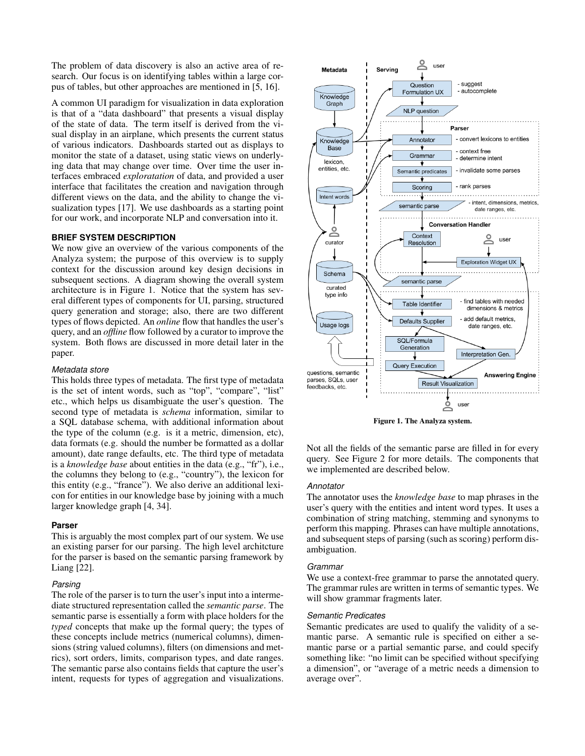The problem of data discovery is also an active area of research. Our focus is on identifying tables within a large corpus of tables, but other approaches are mentioned in [\[5,](#page-10-11) [16\]](#page-10-1).

A common UI paradigm for visualization in data exploration is that of a "data dashboard" that presents a visual display of the state of data. The term itself is derived from the visual display in an airplane, which presents the current status of various indicators. Dashboards started out as displays to monitor the state of a dataset, using static views on underlying data that may change over time. Over time the user interfaces embraced *exploratation* of data, and provided a user interface that facilitates the creation and navigation through different views on the data, and the ability to change the visualization types [\[17\]](#page-10-12). We use dashboards as a starting point for our work, and incorporate NLP and conversation into it.

## **BRIEF SYSTEM DESCRIPTION**

We now give an overview of the various components of the Analyza system; the purpose of this overview is to supply context for the discussion around key design decisions in subsequent sections. A diagram showing the overall system architecture is in Figure [1.](#page-2-0) Notice that the system has several different types of components for UI, parsing, structured query generation and storage; also, there are two different types of flows depicted. An *online* flow that handles the user's query, and an *offline* flow followed by a curator to improve the system. Both flows are discussed in more detail later in the paper.

## *Metadata store*

This holds three types of metadata. The first type of metadata is the set of intent words, such as "top", "compare", "list" etc., which helps us disambiguate the user's question. The second type of metadata is *schema* information, similar to a SQL database schema, with additional information about the type of the column (e.g. is it a metric, dimension, etc), data formats (e.g. should the number be formatted as a dollar amount), date range defaults, etc. The third type of metadata is a *knowledge base* about entities in the data (e.g., "fr"), i.e., the columns they belong to (e.g., "country"), the lexicon for this entity (e.g., "france"). We also derive an additional lexicon for entities in our knowledge base by joining with a much larger knowledge graph [\[4,](#page-10-13) [34\]](#page-11-11).

## **Parser**

This is arguably the most complex part of our system. We use an existing parser for our parsing. The high level architcture for the parser is based on the semantic parsing framework by Liang [\[22\]](#page-11-5).

#### *Parsing*

The role of the parser is to turn the user's input into a intermediate structured representation called the *semantic parse*. The semantic parse is essentially a form with place holders for the *typed* concepts that make up the formal query; the types of these concepts include metrics (numerical columns), dimensions (string valued columns), filters (on dimensions and metrics), sort orders, limits, comparison types, and date ranges. The semantic parse also contains fields that capture the user's intent, requests for types of aggregation and visualizations.



<span id="page-2-0"></span>Figure 1. The Analyza system.

Not all the fields of the semantic parse are filled in for every query. See Figure [2](#page-3-0) for more details. The components that we implemented are described below.

### *Annotator*

The annotator uses the *knowledge base* to map phrases in the user's query with the entities and intent word types. It uses a combination of string matching, stemming and synonyms to perform this mapping. Phrases can have multiple annotations, and subsequent steps of parsing (such as scoring) perform disambiguation.

## *Grammar*

We use a context-free grammar to parse the annotated query. The grammar rules are written in terms of semantic types. We will show grammar fragments later.

#### *Semantic Predicates*

Semantic predicates are used to qualify the validity of a semantic parse. A semantic rule is specified on either a semantic parse or a partial semantic parse, and could specify something like: "no limit can be specified without specifying a dimension", or "average of a metric needs a dimension to average over".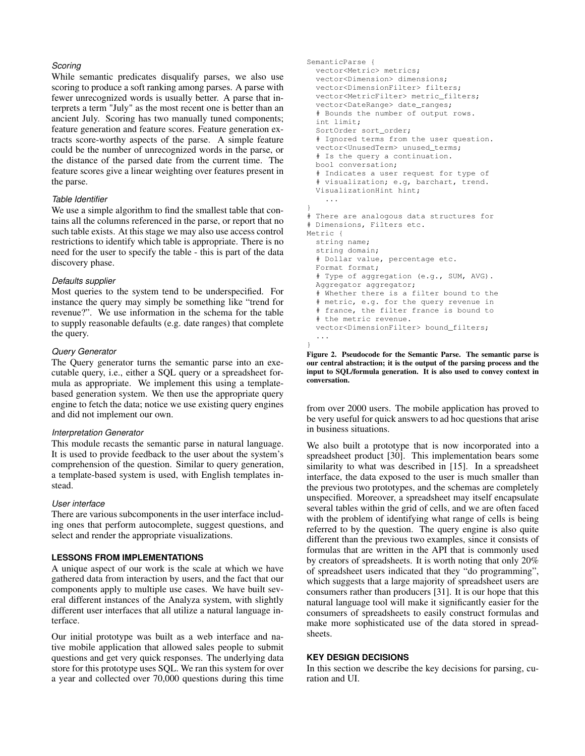## *Scoring*

While semantic predicates disqualify parses, we also use scoring to produce a soft ranking among parses. A parse with fewer unrecognized words is usually better. A parse that interprets a term "July" as the most recent one is better than an ancient July. Scoring has two manually tuned components; feature generation and feature scores. Feature generation extracts score-worthy aspects of the parse. A simple feature could be the number of unrecognized words in the parse, or the distance of the parsed date from the current time. The feature scores give a linear weighting over features present in the parse.

## *Table Identifier*

We use a simple algorithm to find the smallest table that contains all the columns referenced in the parse, or report that no such table exists. At this stage we may also use access control restrictions to identify which table is appropriate. There is no need for the user to specify the table - this is part of the data discovery phase.

## *Defaults supplier*

Most queries to the system tend to be underspecified. For instance the query may simply be something like "trend for revenue?". We use information in the schema for the table to supply reasonable defaults (e.g. date ranges) that complete the query.

## *Query Generator*

The Query generator turns the semantic parse into an executable query, i.e., either a SQL query or a spreadsheet formula as appropriate. We implement this using a templatebased generation system. We then use the appropriate query engine to fetch the data; notice we use existing query engines and did not implement our own.

## *Interpretation Generator*

This module recasts the semantic parse in natural language. It is used to provide feedback to the user about the system's comprehension of the question. Similar to query generation, a template-based system is used, with English templates instead.

## *User interface*

There are various subcomponents in the user interface including ones that perform autocomplete, suggest questions, and select and render the appropriate visualizations.

## **LESSONS FROM IMPLEMENTATIONS**

A unique aspect of our work is the scale at which we have gathered data from interaction by users, and the fact that our components apply to multiple use cases. We have built several different instances of the Analyza system, with slightly different user interfaces that all utilize a natural language interface.

Our initial prototype was built as a web interface and native mobile application that allowed sales people to submit questions and get very quick responses. The underlying data store for this prototype uses SQL. We ran this system for over a year and collected over 70,000 questions during this time

```
SemanticParse {
  vector<Metric> metrics;
  vector<Dimension> dimensions;
  vector<DimensionFilter> filters;
  vector<MetricFilter> metric_filters;
  vector<DateRange> date_ranges;
  # Bounds the number of output rows.
  int limit;
  SortOrder sort_order;
  # Ignored terms from the user question.
  vector<UnusedTerm> unused_terms;
  # Is the query a continuation.
  bool conversation;
  # Indicates a user request for type of
  # visualization; e.g, barchart, trend.
  VisualizationHint hint;
    ...
}
# There are analogous data structures for
# Dimensions, Filters etc.
Metric {
  string name;
  string domain;
  # Dollar value, percentage etc.
  Format format;
  # Type of aggregation (e.g., SUM, AVG).
  Aggregator aggregator;
  # Whether there is a filter bound to the
  # metric, e.g. for the query revenue in
  # france, the filter france is bound to
  # the metric revenue.
  vector<DimensionFilter> bound_filters;
  ...
```
Figure 2. Pseudocode for the Semantic Parse. The semantic parse is our central abstraction; it is the output of the parsing process and the input to SQL/formula generation. It is also used to convey context in conversation.

from over 2000 users. The mobile application has proved to be very useful for quick answers to ad hoc questions that arise in business situations.

We also built a prototype that is now incorporated into a spreadsheet product [\[30\]](#page-11-12). This implementation bears some similarity to what was described in [\[15\]](#page-10-9). In a spreadsheet interface, the data exposed to the user is much smaller than the previous two prototypes, and the schemas are completely unspecified. Moreover, a spreadsheet may itself encapsulate several tables within the grid of cells, and we are often faced with the problem of identifying what range of cells is being referred to by the question. The query engine is also quite different than the previous two examples, since it consists of formulas that are written in the API that is commonly used by creators of spreadsheets. It is worth noting that only 20% of spreadsheet users indicated that they "do programming", which suggests that a large majority of spreadsheet users are consumers rather than producers [\[31\]](#page-11-13). It is our hope that this natural language tool will make it significantly easier for the consumers of spreadsheets to easily construct formulas and make more sophisticated use of the data stored in spreadsheets.

## **KEY DESIGN DECISIONS**

<span id="page-3-0"></span>}

In this section we describe the key decisions for parsing, curation and UI.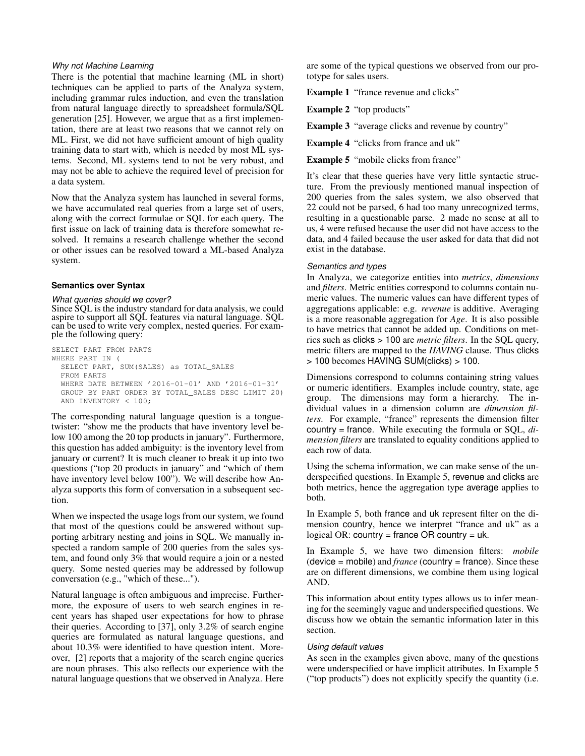## *Why not Machine Learning*

There is the potential that machine learning (ML in short) techniques can be applied to parts of the Analyza system, including grammar rules induction, and even the translation from natural language directly to spreadsheet formula/SQL generation [\[25\]](#page-11-14). However, we argue that as a first implementation, there are at least two reasons that we cannot rely on ML. First, we did not have sufficient amount of high quality training data to start with, which is needed by most ML systems. Second, ML systems tend to not be very robust, and may not be able to achieve the required level of precision for a data system.

Now that the Analyza system has launched in several forms, we have accumulated real queries from a large set of users, along with the correct formulae or SQL for each query. The first issue on lack of training data is therefore somewhat resolved. It remains a research challenge whether the second or other issues can be resolved toward a ML-based Analyza system.

## **Semantics over Syntax**

<span id="page-4-0"></span>*What queries should we cover?* Since SQL is the industry standard for data analysis, we could aspire to support all SQL features via natural language. SQL can be used to write very complex, nested queries. For example the following query:

SELECT PART FROM PARTS WHERE PART IN ( SELECT PART, SUM(SALES) as TOTAL\_SALES FROM PARTS WHERE DATE BETWEEN '2016-01-01' AND '2016-01-31' GROUP BY PART ORDER BY TOTAL\_SALES DESC LIMIT 20) AND INVENTORY < 100;

The corresponding natural language question is a tonguetwister: "show me the products that have inventory level below 100 among the 20 top products in january". Furthermore, this question has added ambiguity: is the inventory level from january or current? It is much cleaner to break it up into two questions ("top 20 products in january" and "which of them have inventory level below 100"). We will describe how Analyza supports this form of conversation in a subsequent section.

When we inspected the usage logs from our system, we found that most of the questions could be answered without supporting arbitrary nesting and joins in SQL. We manually inspected a random sample of 200 queries from the sales system, and found only 3% that would require a join or a nested query. Some nested queries may be addressed by followup conversation (e.g., "which of these...").

Natural language is often ambiguous and imprecise. Furthermore, the exposure of users to web search engines in recent years has shaped user expectations for how to phrase their queries. According to [\[37\]](#page-11-15), only 3.2% of search engine queries are formulated as natural language questions, and about 10.3% were identified to have question intent. Moreover, [\[2\]](#page-10-14) reports that a majority of the search engine queries are noun phrases. This also reflects our experience with the natural language questions that we observed in Analyza. Here are some of the typical questions we observed from our prototype for sales users.

Example 1 "france revenue and clicks"

Example 2 "top products"

Example 3 "average clicks and revenue by country"

Example 4 "clicks from france and uk"

Example 5 "mobile clicks from france"

It's clear that these queries have very little syntactic structure. From the previously mentioned manual inspection of 200 queries from the sales system, we also observed that 22 could not be parsed, 6 had too many unrecognized terms, resulting in a questionable parse. 2 made no sense at all to us, 4 were refused because the user did not have access to the data, and 4 failed because the user asked for data that did not exist in the database.

## *Semantics and types*

In Analyza, we categorize entities into *metrics*, *dimensions* and *filters*. Metric entities correspond to columns contain numeric values. The numeric values can have different types of aggregations applicable: e.g. *revenue* is additive. Averaging is a more reasonable aggregation for *Age*. It is also possible to have metrics that cannot be added up. Conditions on metrics such as clicks > 100 are *metric filters*. In the SQL query, metric filters are mapped to the *HAVING* clause. Thus clicks > 100 becomes HAVING SUM(clicks) > 100.

Dimensions correspond to columns containing string values or numeric identifiers. Examples include country, state, age group. The dimensions may form a hierarchy. The individual values in a dimension column are *dimension filters*. For example, "france" represents the dimension filter country = france. While executing the formula or SQL, *dimension filters* are translated to equality conditions applied to each row of data.

Using the schema information, we can make sense of the underspecified questions. In Example [5,](#page-4-0) revenue and clicks are both metrics, hence the aggregation type average applies to both.

In Example [5,](#page-4-0) both france and uk represent filter on the dimension country, hence we interpret "france and uk" as a logical OR: country = france OR country = uk.

In Example [5,](#page-4-0) we have two dimension filters: *mobile* (device = mobile) and *france* (country = france). Since these are on different dimensions, we combine them using logical AND.

This information about entity types allows us to infer meaning for the seemingly vague and underspecified questions. We discuss how we obtain the semantic information later in this section.

## *Using default values*

As seen in the examples given above, many of the questions were underspecified or have implicit attributes. In Example [5](#page-4-0) ("top products") does not explicitly specify the quantity (i.e.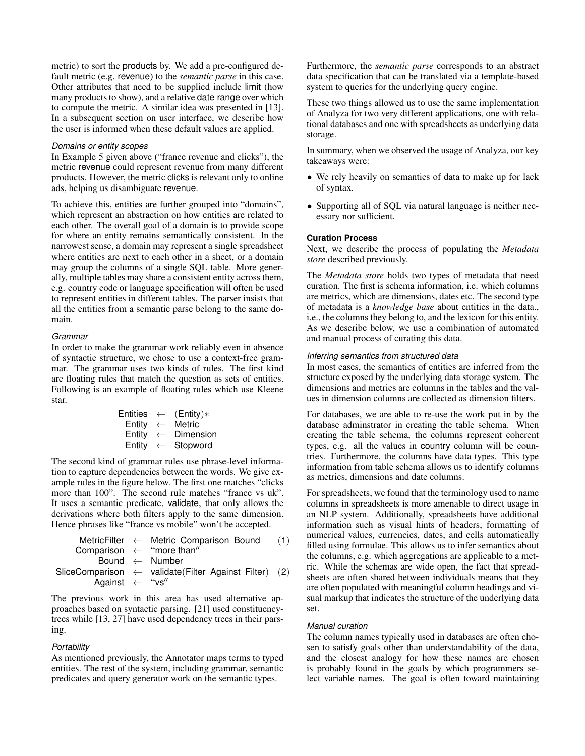metric) to sort the products by. We add a pre-configured default metric (e.g. revenue) to the *semantic parse* in this case. Other attributes that need to be supplied include limit (how many products to show), and a relative date range over which to compute the metric. A similar idea was presented in [\[13\]](#page-10-8). In a subsequent section on user interface, we describe how the user is informed when these default values are applied.

## *Domains or entity scopes*

In Example [5](#page-4-0) given above ("france revenue and clicks"), the metric revenue could represent revenue from many different products. However, the metric clicks is relevant only to online ads, helping us disambiguate revenue.

To achieve this, entities are further grouped into "domains", which represent an abstraction on how entities are related to each other. The overall goal of a domain is to provide scope for where an entity remains semantically consistent. In the narrowest sense, a domain may represent a single spreadsheet where entities are next to each other in a sheet, or a domain may group the columns of a single SQL table. More generally, multiple tables may share a consistent entity across them, e.g. country code or language specification will often be used to represent entities in different tables. The parser insists that all the entities from a semantic parse belong to the same domain.

## *Grammar*

In order to make the grammar work reliably even in absence of syntactic structure, we chose to use a context-free grammar. The grammar uses two kinds of rules. The first kind are floating rules that match the question as sets of entities. Following is an example of floating rules which use Kleene star.

| Entities | $\leftarrow$ | $(Entity)*$ |
|----------|--------------|-------------|
| Entity   | $\leftarrow$ | Metric      |
| Entity   | $\leftarrow$ | Dimension   |
| Entity   | $\leftarrow$ | Stopword    |

The second kind of grammar rules use phrase-level information to capture dependencies between the words. We give example rules in the figure below. The first one matches "clicks more than 100". The second rule matches "france vs uk". It uses a semantic predicate, validate, that only allows the derivations where both filters apply to the same dimension. Hence phrases like "france vs mobile" won't be accepted.

MetricFilter ← Metric Comparison Bound (1) Comparison ← "more than<sup>00</sup> Bound ← Number SliceComparison ← validate(Filter Against Filter) (2) Against ← "vs<sup>00</sup>

The previous work in this area has used alternative approaches based on syntactic parsing. [\[21\]](#page-11-16) used constituencytrees while [\[13,](#page-10-8) [27\]](#page-11-6) have used dependency trees in their parsing.

## *Portability*

As mentioned previously, the Annotator maps terms to typed entities. The rest of the system, including grammar, semantic predicates and query generator work on the semantic types.

Furthermore, the *semantic parse* corresponds to an abstract data specification that can be translated via a template-based system to queries for the underlying query engine.

These two things allowed us to use the same implementation of Analyza for two very different applications, one with relational databases and one with spreadsheets as underlying data storage.

In summary, when we observed the usage of Analyza, our key takeaways were:

- We rely heavily on semantics of data to make up for lack of syntax.
- Supporting all of SQL via natural language is neither necessary nor sufficient.

## **Curation Process**

Next, we describe the process of populating the *Metadata store* described previously.

The *Metadata store* holds two types of metadata that need curation. The first is schema information, i.e. which columns are metrics, which are dimensions, dates etc. The second type of metadata is a *knowledge base* about entities in the data., i.e., the columns they belong to, and the lexicon for this entity. As we describe below, we use a combination of automated and manual process of curating this data.

## *Inferring semantics from structured data*

In most cases, the semantics of entities are inferred from the structure exposed by the underlying data storage system. The dimensions and metrics are columns in the tables and the values in dimension columns are collected as dimension filters.

For databases, we are able to re-use the work put in by the database adminstrator in creating the table schema. When creating the table schema, the columns represent coherent types, e.g. all the values in country column will be countries. Furthermore, the columns have data types. This type information from table schema allows us to identify columns as metrics, dimensions and date columns.

For spreadsheets, we found that the terminology used to name columns in spreadsheets is more amenable to direct usage in an NLP system. Additionally, spreadsheets have additional information such as visual hints of headers, formatting of numerical values, currencies, dates, and cells automatically filled using formulae. This allows us to infer semantics about the columns, e.g. which aggregations are applicable to a metric. While the schemas are wide open, the fact that spreadsheets are often shared between individuals means that they are often populated with meaningful column headings and visual markup that indicates the structure of the underlying data set.

## *Manual curation*

The column names typically used in databases are often chosen to satisfy goals other than understandability of the data, and the closest analogy for how these names are chosen is probably found in the goals by which programmers select variable names. The goal is often toward maintaining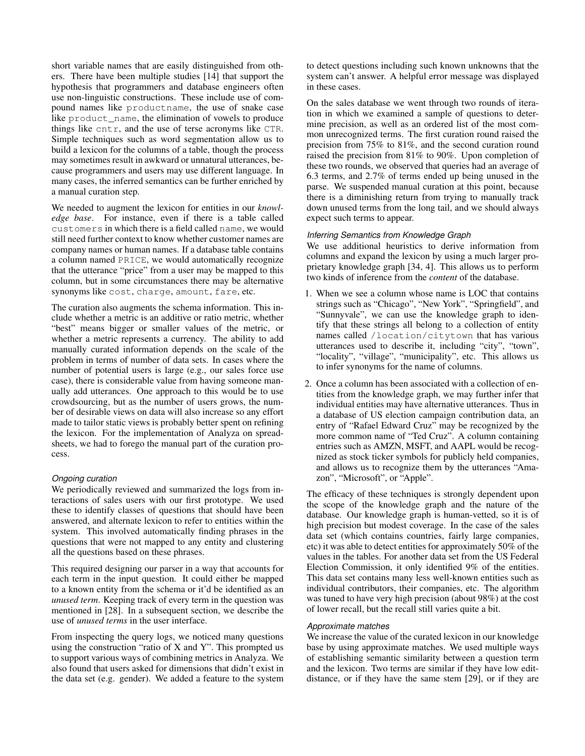short variable names that are easily distinguished from others. There have been multiple studies [\[14\]](#page-10-15) that support the hypothesis that programmers and database engineers often use non-linguistic constructions. These include use of compound names like productname, the use of snake case like product name, the elimination of vowels to produce things like  $\text{cntr}$ , and the use of terse acronyms like CTR. Simple techniques such as word segmentation allow us to build a lexicon for the columns of a table, though the process may sometimes result in awkward or unnatural utterances, because programmers and users may use different language. In many cases, the inferred semantics can be further enriched by a manual curation step.

We needed to augment the lexicon for entities in our *knowledge base*. For instance, even if there is a table called customers in which there is a field called name, we would still need further context to know whether customer names are company names or human names. If a database table contains a column named PRICE, we would automatically recognize that the utterance "price" from a user may be mapped to this column, but in some circumstances there may be alternative synonyms like cost, charge, amount, fare, etc.

The curation also augments the schema information. This include whether a metric is an additive or ratio metric, whether "best" means bigger or smaller values of the metric, or whether a metric represents a currency. The ability to add manually curated information depends on the scale of the problem in terms of number of data sets. In cases where the number of potential users is large (e.g., our sales force use case), there is considerable value from having someone manually add utterances. One approach to this would be to use crowdsourcing, but as the number of users grows, the number of desirable views on data will also increase so any effort made to tailor static views is probably better spent on refining the lexicon. For the implementation of Analyza on spreadsheets, we had to forego the manual part of the curation process.

# *Ongoing curation*

We periodically reviewed and summarized the logs from interactions of sales users with our first prototype. We used these to identify classes of questions that should have been answered, and alternate lexicon to refer to entities within the system. This involved automatically finding phrases in the questions that were not mapped to any entity and clustering all the questions based on these phrases.

This required designing our parser in a way that accounts for each term in the input question. It could either be mapped to a known entity from the schema or it'd be identified as an *unused term*. Keeping track of every term in the question was mentioned in [\[28\]](#page-11-7). In a subsequent section, we describe the use of *unused terms* in the user interface.

From inspecting the query logs, we noticed many questions using the construction "ratio of X and Y". This prompted us to support various ways of combining metrics in Analyza. We also found that users asked for dimensions that didn't exist in the data set (e.g. gender). We added a feature to the system to detect questions including such known unknowns that the system can't answer. A helpful error message was displayed in these cases.

On the sales database we went through two rounds of iteration in which we examined a sample of questions to determine precision, as well as an ordered list of the most common unrecognized terms. The first curation round raised the precision from 75% to 81%, and the second curation round raised the precision from 81% to 90%. Upon completion of these two rounds, we observed that queries had an average of 6.3 terms, and 2.7% of terms ended up being unused in the parse. We suspended manual curation at this point, because there is a diminishing return from trying to manually track down unused terms from the long tail, and we should always expect such terms to appear.

# *Inferring Semantics from Knowledge Graph*

We use additional heuristics to derive information from columns and expand the lexicon by using a much larger proprietary knowledge graph [\[34,](#page-11-11) [4\]](#page-10-13). This allows us to perform two kinds of inference from the *content* of the database.

- 1. When we see a column whose name is LOC that contains strings such as "Chicago", "New York", "Springfield", and "Sunnyvale", we can use the knowledge graph to identify that these strings all belong to a collection of entity names called /location/citytown that has various utterances used to describe it, including "city", "town", "locality", "village", "municipality", etc. This allows us to infer synonyms for the name of columns.
- 2. Once a column has been associated with a collection of entities from the knowledge graph, we may further infer that individual entities may have alternative utterances. Thus in a database of US election campaign contribution data, an entry of "Rafael Edward Cruz" may be recognized by the more common name of "Ted Cruz". A column containing entries such as AMZN, MSFT, and AAPL would be recognized as stock ticker symbols for publicly held companies, and allows us to recognize them by the utterances "Amazon", "Microsoft", or "Apple".

The efficacy of these techniques is strongly dependent upon the scope of the knowledge graph and the nature of the database. Our knowledge graph is human-vetted, so it is of high precision but modest coverage. In the case of the sales data set (which contains countries, fairly large companies, etc) it was able to detect entities for approximately 50% of the values in the tables. For another data set from the US Federal Election Commission, it only identified 9% of the entities. This data set contains many less well-known entities such as individual contributors, their companies, etc. The algorithm was tuned to have very high precision (about 98%) at the cost of lower recall, but the recall still varies quite a bit.

## *Approximate matches*

We increase the value of the curated lexicon in our knowledge base by using approximate matches. We used multiple ways of establishing semantic similarity between a question term and the lexicon. Two terms are similar if they have low editdistance, or if they have the same stem [\[29\]](#page-11-17), or if they are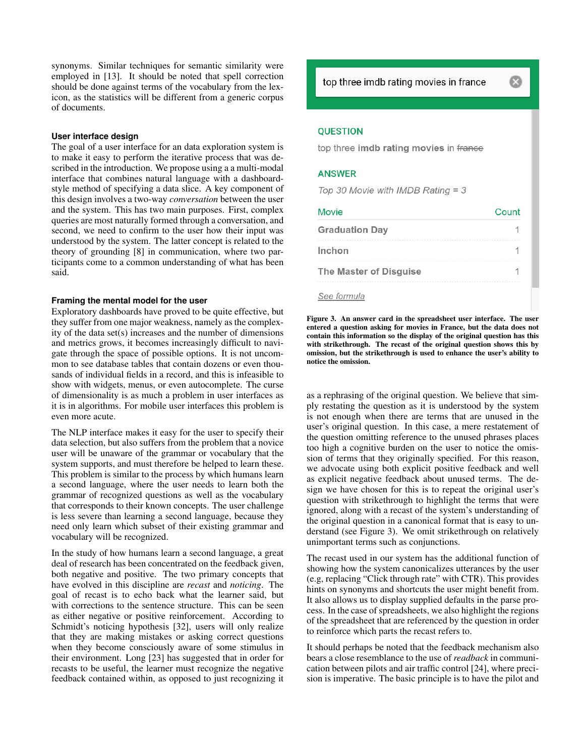synonyms. Similar techniques for semantic similarity were employed in [\[13\]](#page-10-8). It should be noted that spell correction should be done against terms of the vocabulary from the lexicon, as the statistics will be different from a generic corpus of documents.

## **User interface design**

The goal of a user interface for an data exploration system is to make it easy to perform the iterative process that was described in the introduction. We propose using a a multi-modal interface that combines natural language with a dashboardstyle method of specifying a data slice. A key component of this design involves a two-way *conversation* between the user and the system. This has two main purposes. First, complex queries are most naturally formed through a conversation, and second, we need to confirm to the user how their input was understood by the system. The latter concept is related to the theory of grounding [\[8\]](#page-10-16) in communication, where two participants come to a common understanding of what has been said.

## **Framing the mental model for the user**

Exploratory dashboards have proved to be quite effective, but they suffer from one major weakness, namely as the complexity of the data set(s) increases and the number of dimensions and metrics grows, it becomes increasingly difficult to navigate through the space of possible options. It is not uncommon to see database tables that contain dozens or even thousands of individual fields in a record, and this is infeasible to show with widgets, menus, or even autocomplete. The curse of dimensionality is as much a problem in user interfaces as it is in algorithms. For mobile user interfaces this problem is even more acute.

The NLP interface makes it easy for the user to specify their data selection, but also suffers from the problem that a novice user will be unaware of the grammar or vocabulary that the system supports, and must therefore be helped to learn these. This problem is similar to the process by which humans learn a second language, where the user needs to learn both the grammar of recognized questions as well as the vocabulary that corresponds to their known concepts. The user challenge is less severe than learning a second language, because they need only learn which subset of their existing grammar and vocabulary will be recognized.

In the study of how humans learn a second language, a great deal of research has been concentrated on the feedback given, both negative and positive. The two primary concepts that have evolved in this discipline are *recast* and *noticing*. The goal of recast is to echo back what the learner said, but with corrections to the sentence structure. This can be seen as either negative or positive reinforcement. According to Schmidt's noticing hypothesis [\[32\]](#page-11-18), users will only realize that they are making mistakes or asking correct questions when they become consciously aware of some stimulus in their environment. Long [\[23\]](#page-11-19) has suggested that in order for recasts to be useful, the learner must recognize the negative feedback contained within, as opposed to just recognizing it top three imdb rating movies in france

 $\boldsymbol{\Omega}$ 

# **QUESTION**

top three imdb rating movies in france

## **ANSWER**

Top 30 Movie with IMDB Rating = 3

| <b>Movie</b>           | Count |
|------------------------|-------|
| <b>Graduation Day</b>  |       |
| Inchon                 |       |
| The Master of Disguise |       |
| See formula            |       |

<span id="page-7-0"></span>Figure 3. An answer card in the spreadsheet user interface. The user entered a question asking for movies in France, but the data does not contain this information so the display of the original question has this with strikethrough. The recast of the original question shows this by omission, but the strikethrough is used to enhance the user's ability to notice the omission.

as a rephrasing of the original question. We believe that simply restating the question as it is understood by the system is not enough when there are terms that are unused in the user's original question. In this case, a mere restatement of the question omitting reference to the unused phrases places too high a cognitive burden on the user to notice the omission of terms that they originally specified. For this reason, we advocate using both explicit positive feedback and well as explicit negative feedback about unused terms. The design we have chosen for this is to repeat the original user's question with strikethrough to highlight the terms that were ignored, along with a recast of the system's understanding of the original question in a canonical format that is easy to understand (see Figure [3\)](#page-7-0). We omit strikethrough on relatively unimportant terms such as conjunctions.

The recast used in our system has the additional function of showing how the system canonicalizes utterances by the user (e.g, replacing "Click through rate" with CTR). This provides hints on synonyms and shortcuts the user might benefit from. It also allows us to display supplied defaults in the parse process. In the case of spreadsheets, we also highlight the regions of the spreadsheet that are referenced by the question in order to reinforce which parts the recast refers to.

It should perhaps be noted that the feedback mechanism also bears a close resemblance to the use of *readback* in communication between pilots and air traffic control [\[24\]](#page-11-20), where precision is imperative. The basic principle is to have the pilot and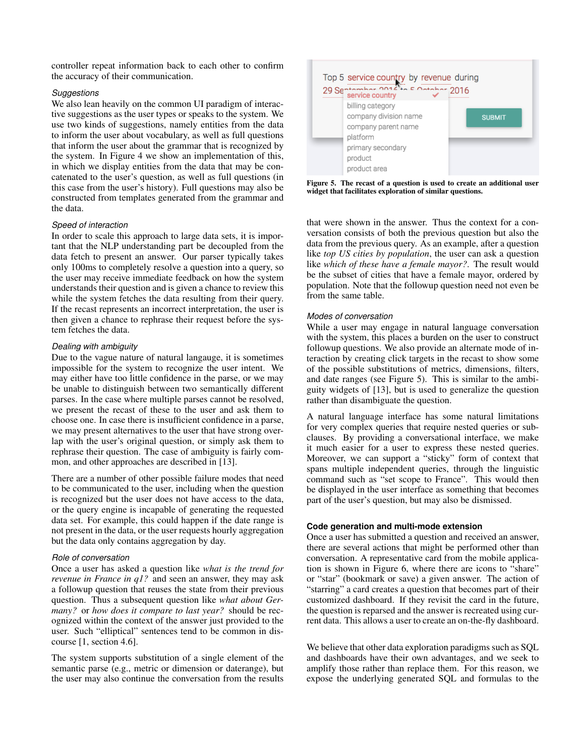controller repeat information back to each other to confirm the accuracy of their communication.

## *Suggestions*

We also lean heavily on the common UI paradigm of interactive suggestions as the user types or speaks to the system. We use two kinds of suggestions, namely entities from the data to inform the user about vocabulary, as well as full questions that inform the user about the grammar that is recognized by the system. In Figure [4](#page-9-0) we show an implementation of this, in which we display entities from the data that may be concatenated to the user's question, as well as full questions (in this case from the user's history). Full questions may also be constructed from templates generated from the grammar and the data.

## *Speed of interaction*

In order to scale this approach to large data sets, it is important that the NLP understanding part be decoupled from the data fetch to present an answer. Our parser typically takes only 100ms to completely resolve a question into a query, so the user may receive immediate feedback on how the system understands their question and is given a chance to review this while the system fetches the data resulting from their query. If the recast represents an incorrect interpretation, the user is then given a chance to rephrase their request before the system fetches the data.

## *Dealing with ambiguity*

Due to the vague nature of natural langauge, it is sometimes impossible for the system to recognize the user intent. We may either have too little confidence in the parse, or we may be unable to distinguish between two semantically different parses. In the case where multiple parses cannot be resolved, we present the recast of these to the user and ask them to choose one. In case there is insufficient confidence in a parse, we may present alternatives to the user that have strong overlap with the user's original question, or simply ask them to rephrase their question. The case of ambiguity is fairly common, and other approaches are described in [\[13\]](#page-10-8).

There are a number of other possible failure modes that need to be communicated to the user, including when the question is recognized but the user does not have access to the data, or the query engine is incapable of generating the requested data set. For example, this could happen if the date range is not present in the data, or the user requests hourly aggregation but the data only contains aggregation by day.

## *Role of conversation*

Once a user has asked a question like *what is the trend for revenue in France in q1?* and seen an answer, they may ask a followup question that reuses the state from their previous question. Thus a subsequent question like *what about Germany?* or *how does it compare to last year?* should be recognized within the context of the answer just provided to the user. Such "elliptical" sentences tend to be common in discourse [\[1,](#page-10-6) section 4.6].

The system supports substitution of a single element of the semantic parse (e.g., metric or dimension or daterange), but the user may also continue the conversation from the results



<span id="page-8-0"></span>Figure 5. The recast of a question is used to create an additional user widget that facilitates exploration of similar questions.

that were shown in the answer. Thus the context for a conversation consists of both the previous question but also the data from the previous query. As an example, after a question like *top US cities by population*, the user can ask a question like *which of these have a female mayor?*. The result would be the subset of cities that have a female mayor, ordered by population. Note that the followup question need not even be from the same table.

## *Modes of conversation*

While a user may engage in natural language conversation with the system, this places a burden on the user to construct followup questions. We also provide an alternate mode of interaction by creating click targets in the recast to show some of the possible substitutions of metrics, dimensions, filters, and date ranges (see Figure [5\)](#page-8-0). This is similar to the ambiguity widgets of [\[13\]](#page-10-8), but is used to generalize the question rather than disambiguate the question.

A natural language interface has some natural limitations for very complex queries that require nested queries or subclauses. By providing a conversational interface, we make it much easier for a user to express these nested queries. Moreover, we can support a "sticky" form of context that spans multiple independent queries, through the linguistic command such as "set scope to France". This would then be displayed in the user interface as something that becomes part of the user's question, but may also be dismissed.

# **Code generation and multi-mode extension**

Once a user has submitted a question and received an answer, there are several actions that might be performed other than conversation. A representative card from the mobile application is shown in Figure [6,](#page-9-1) where there are icons to "share" or "star" (bookmark or save) a given answer. The action of "starring" a card creates a question that becomes part of their customized dashboard. If they revisit the card in the future, the question is reparsed and the answer is recreated using current data. This allows a user to create an on-the-fly dashboard.

We believe that other data exploration paradigms such as SOL and dashboards have their own advantages, and we seek to amplify those rather than replace them. For this reason, we expose the underlying generated SQL and formulas to the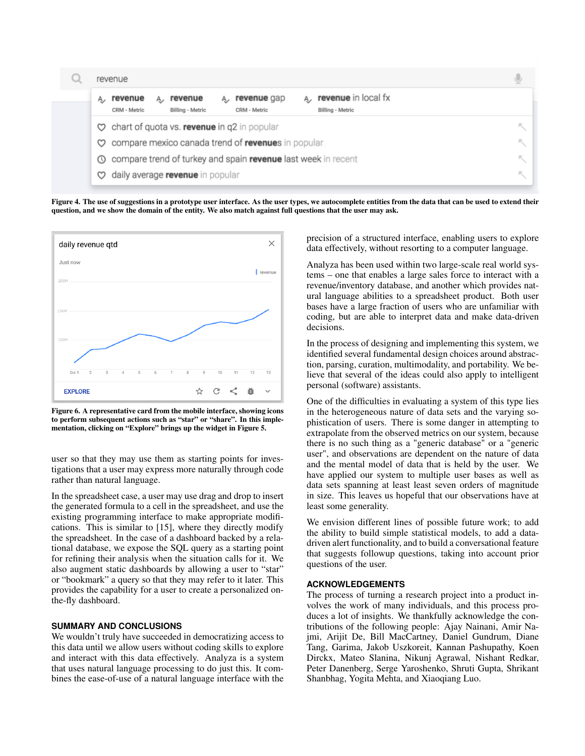

<span id="page-9-0"></span>Figure 4. The use of suggestions in a prototype user interface. As the user types, we autocomplete entities from the data that can be used to extend their question, and we show the domain of the entity. We also match against full questions that the user may ask.



<span id="page-9-1"></span>Figure 6. A representative card from the mobile interface, showing icons to perform subsequent actions such as "star" or "share". In this implementation, clicking on "Explore" brings up the widget in Figure [5.](#page-8-0)

user so that they may use them as starting points for investigations that a user may express more naturally through code rather than natural language.

In the spreadsheet case, a user may use drag and drop to insert the generated formula to a cell in the spreadsheet, and use the existing programming interface to make appropriate modifications. This is similar to [\[15\]](#page-10-9), where they directly modify the spreadsheet. In the case of a dashboard backed by a relational database, we expose the SQL query as a starting point for refining their analysis when the situation calls for it. We also augment static dashboards by allowing a user to "star" or "bookmark" a query so that they may refer to it later. This provides the capability for a user to create a personalized onthe-fly dashboard.

## **SUMMARY AND CONCLUSIONS**

We wouldn't truly have succeeded in democratizing access to this data until we allow users without coding skills to explore and interact with this data effectively. Analyza is a system that uses natural language processing to do just this. It combines the ease-of-use of a natural language interface with the precision of a structured interface, enabling users to explore data effectively, without resorting to a computer language.

Analyza has been used within two large-scale real world systems – one that enables a large sales force to interact with a revenue/inventory database, and another which provides natural language abilities to a spreadsheet product. Both user bases have a large fraction of users who are unfamiliar with coding, but are able to interpret data and make data-driven decisions.

In the process of designing and implementing this system, we identified several fundamental design choices around abstraction, parsing, curation, multimodality, and portability. We believe that several of the ideas could also apply to intelligent personal (software) assistants.

One of the difficulties in evaluating a system of this type lies in the heterogeneous nature of data sets and the varying sophistication of users. There is some danger in attempting to extrapolate from the observed metrics on our system, because there is no such thing as a "generic database" or a "generic user", and observations are dependent on the nature of data and the mental model of data that is held by the user. We have applied our system to multiple user bases as well as data sets spanning at least least seven orders of magnitude in size. This leaves us hopeful that our observations have at least some generality.

We envision different lines of possible future work; to add the ability to build simple statistical models, to add a datadriven alert functionality, and to build a conversational feature that suggests followup questions, taking into account prior questions of the user.

## **ACKNOWLEDGEMENTS**

The process of turning a research project into a product involves the work of many individuals, and this process produces a lot of insights. We thankfully acknowledge the contributions of the following people: Ajay Nainani, Amir Najmi, Arijit De, Bill MacCartney, Daniel Gundrum, Diane Tang, Garima, Jakob Uszkoreit, Kannan Pashupathy, Koen Dirckx, Mateo Slanina, Nikunj Agrawal, Nishant Redkar, Peter Danenberg, Serge Yaroshenko, Shruti Gupta, Shrikant Shanbhag, Yogita Mehta, and Xiaoqiang Luo.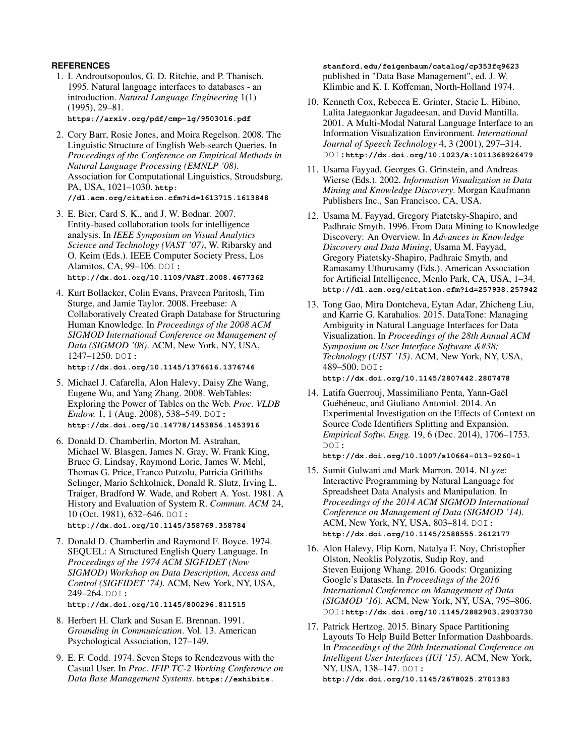# <span id="page-10-6"></span>**REFERENCES**

1. I. Androutsopoulos, G. D. Ritchie, and P. Thanisch. 1995. Natural language interfaces to databases - an introduction. *Natural Language Engineering* 1(1) (1995), 29–81.

**<https://arxiv.org/pdf/cmp-lg/9503016.pdf>**

- <span id="page-10-14"></span>2. Cory Barr, Rosie Jones, and Moira Regelson. 2008. The Linguistic Structure of English Web-search Queries. In *Proceedings of the Conference on Empirical Methods in Natural Language Processing (EMNLP '08)*. Association for Computational Linguistics, Stroudsburg, PA, USA, 1021–1030. **[http:](http://dl.acm.org/citation.cfm?id=1613715.1613848) [//dl.acm.org/citation.cfm?id=1613715.1613848](http://dl.acm.org/citation.cfm?id=1613715.1613848)**
- <span id="page-10-2"></span>3. E. Bier, Card S. K., and J. W. Bodnar. 2007. Entity-based collaboration tools for intelligence analysis. In *IEEE Symposium on Visual Analytics Science and Technology (VAST '07)*, W. Ribarsky and O. Keim (Eds.). IEEE Computer Society Press, Los Alamitos, CA, 99–106. DOI: **<http://dx.doi.org/10.1109/VAST.2008.4677362>**
- <span id="page-10-13"></span>4. Kurt Bollacker, Colin Evans, Praveen Paritosh, Tim Sturge, and Jamie Taylor. 2008. Freebase: A Collaboratively Created Graph Database for Structuring Human Knowledge. In *Proceedings of the 2008 ACM SIGMOD International Conference on Management of Data (SIGMOD '08)*. ACM, New York, NY, USA, 1247–1250. DOI:

**<http://dx.doi.org/10.1145/1376616.1376746>**

- <span id="page-10-11"></span>5. Michael J. Cafarella, Alon Halevy, Daisy Zhe Wang, Eugene Wu, and Yang Zhang. 2008. WebTables: Exploring the Power of Tables on the Web. *Proc. VLDB Endow.* 1, 1 (Aug. 2008), 538–549. DOI: **<http://dx.doi.org/10.14778/1453856.1453916>**
- <span id="page-10-5"></span>6. Donald D. Chamberlin, Morton M. Astrahan, Michael W. Blasgen, James N. Gray, W. Frank King, Bruce G. Lindsay, Raymond Lorie, James W. Mehl, Thomas G. Price, Franco Putzolu, Patricia Griffiths Selinger, Mario Schkolnick, Donald R. Slutz, Irving L. Traiger, Bradford W. Wade, and Robert A. Yost. 1981. A History and Evaluation of System R. *Commun. ACM* 24, 10 (Oct. 1981), 632–646. DOI: **<http://dx.doi.org/10.1145/358769.358784>**
- <span id="page-10-3"></span>7. Donald D. Chamberlin and Raymond F. Boyce. 1974. SEQUEL: A Structured English Query Language. In *Proceedings of the 1974 ACM SIGFIDET (Now SIGMOD) Workshop on Data Description, Access and Control (SIGFIDET '74)*. ACM, New York, NY, USA, 249–264. DOI: **<http://dx.doi.org/10.1145/800296.811515>**

- <span id="page-10-16"></span>8. Herbert H. Clark and Susan E. Brennan. 1991. *Grounding in Communication*. Vol. 13. American Psychological Association, 127–149.
- <span id="page-10-4"></span>9. E. F. Codd. 1974. Seven Steps to Rendezvous with the Casual User. In *Proc. IFIP TC-2 Working Conference on Data Base Management Systems*. **[https://exhibits.](https://exhibits.stanford.edu/feigenbaum/catalog/cp353fq9623)**

**[stanford.edu/feigenbaum/catalog/cp353fq9623](https://exhibits.stanford.edu/feigenbaum/catalog/cp353fq9623)** published in "Data Base Management", ed. J. W. Klimbie and K. I. Koffeman, North-Holland 1974.

- <span id="page-10-7"></span>10. Kenneth Cox, Rebecca E. Grinter, Stacie L. Hibino, Lalita Jategaonkar Jagadeesan, and David Mantilla. 2001. A Multi-Modal Natural Language Interface to an Information Visualization Environment. *International Journal of Speech Technology* 4, 3 (2001), 297–314. DOI:**<http://dx.doi.org/10.1023/A:1011368926479>**
- <span id="page-10-10"></span>11. Usama Fayyad, Georges G. Grinstein, and Andreas Wierse (Eds.). 2002. *Information Visualization in Data Mining and Knowledge Discovery*. Morgan Kaufmann Publishers Inc., San Francisco, CA, USA.
- <span id="page-10-0"></span>12. Usama M. Fayyad, Gregory Piatetsky-Shapiro, and Padhraic Smyth. 1996. From Data Mining to Knowledge Discovery: An Overview. In *Advances in Knowledge Discovery and Data Mining*, Usama M. Fayyad, Gregory Piatetsky-Shapiro, Padhraic Smyth, and Ramasamy Uthurusamy (Eds.). American Association for Artificial Intelligence, Menlo Park, CA, USA, 1–34. **<http://dl.acm.org/citation.cfm?id=257938.257942>**
- <span id="page-10-8"></span>13. Tong Gao, Mira Dontcheva, Eytan Adar, Zhicheng Liu, and Karrie G. Karahalios. 2015. DataTone: Managing Ambiguity in Natural Language Interfaces for Data Visualization. In *Proceedings of the 28th Annual ACM Symposium on User Interface Software & Technology (UIST '15)*. ACM, New York, NY, USA, 489–500. DOI:

**<http://dx.doi.org/10.1145/2807442.2807478>**

<span id="page-10-15"></span>14. Latifa Guerrouj, Massimiliano Penta, Yann-Gaël Guéhéneuc, and Giuliano Antoniol. 2014. An Experimental Investigation on the Effects of Context on Source Code Identifiers Splitting and Expansion. *Empirical Softw. Engg.* 19, 6 (Dec. 2014), 1706–1753. DOI:

**<http://dx.doi.org/10.1007/s10664-013-9260-1>**

- <span id="page-10-9"></span>15. Sumit Gulwani and Mark Marron. 2014. NLyze: Interactive Programming by Natural Language for Spreadsheet Data Analysis and Manipulation. In *Proceedings of the 2014 ACM SIGMOD International Conference on Management of Data (SIGMOD '14)*. ACM, New York, NY, USA, 803–814. DOI: **<http://dx.doi.org/10.1145/2588555.2612177>**
- <span id="page-10-1"></span>16. Alon Halevy, Flip Korn, Natalya F. Noy, Christopher Olston, Neoklis Polyzotis, Sudip Roy, and Steven Euijong Whang. 2016. Goods: Organizing Google's Datasets. In *Proceedings of the 2016 International Conference on Management of Data (SIGMOD '16)*. ACM, New York, NY, USA, 795–806. DOI:**<http://dx.doi.org/10.1145/2882903.2903730>**
- <span id="page-10-12"></span>17. Patrick Hertzog. 2015. Binary Space Partitioning Layouts To Help Build Better Information Dashboards. In *Proceedings of the 20th International Conference on Intelligent User Interfaces (IUI '15)*. ACM, New York, NY, USA, 138–147. DOI:

**<http://dx.doi.org/10.1145/2678025.2701383>**